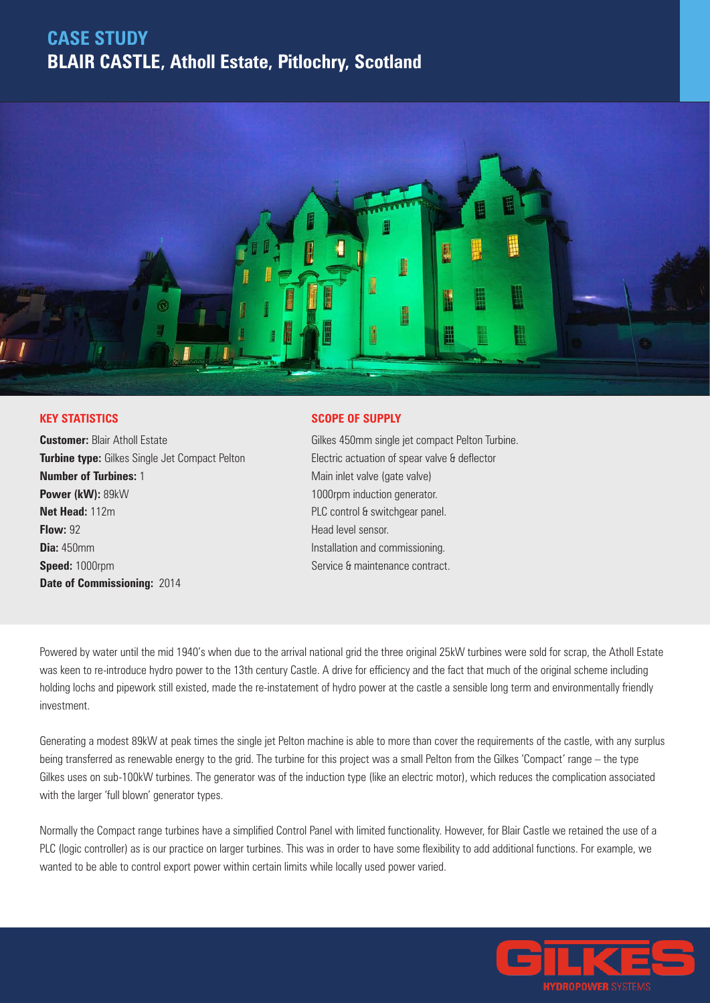## **CASE STUDY BLAIR CASTLE, Atholl Estate, Pitlochry, Scotland**



#### **KEY STATISTICS**

**Customer: Blair Atholl Estate Turbine type:** Gilkes Single Jet Compact Pelton **Number of Turbines:** 1 **Power (kW):** 89kW **Net Head:** 112m **Flow:** 92 **Dia:** 450mm **Speed:** 1000rpm **Date of Commissioning:** 2014

#### **SCOPE OF SUPPLY**

Gilkes 450mm single jet compact Pelton Turbine. Electric actuation of spear valve & deflector Main inlet valve (gate valve) 1000rpm induction generator. PLC control & switchgear panel. Head level sensor. Installation and commissioning. Service & maintenance contract.

Powered by water until the mid 1940's when due to the arrival national grid the three original 25kW turbines were sold for scrap, the Atholl Estate was keen to re-introduce hydro power to the 13th century Castle. A drive for efficiency and the fact that much of the original scheme including holding lochs and pipework still existed, made the re-instatement of hydro power at the castle a sensible long term and environmentally friendly investment.

Generating a modest 89kW at peak times the single jet Pelton machine is able to more than cover the requirements of the castle, with any surplus being transferred as renewable energy to the grid. The turbine for this project was a small Pelton from the Gilkes 'Compact' range – the type Gilkes uses on sub-100kW turbines. The generator was of the induction type (like an electric motor), which reduces the complication associated with the larger 'full blown' generator types.

Normally the Compact range turbines have a simplified Control Panel with limited functionality. However, for Blair Castle we retained the use of a PLC (logic controller) as is our practice on larger turbines. This was in order to have some flexibility to add additional functions. For example, we wanted to be able to control export power within certain limits while locally used power varied.